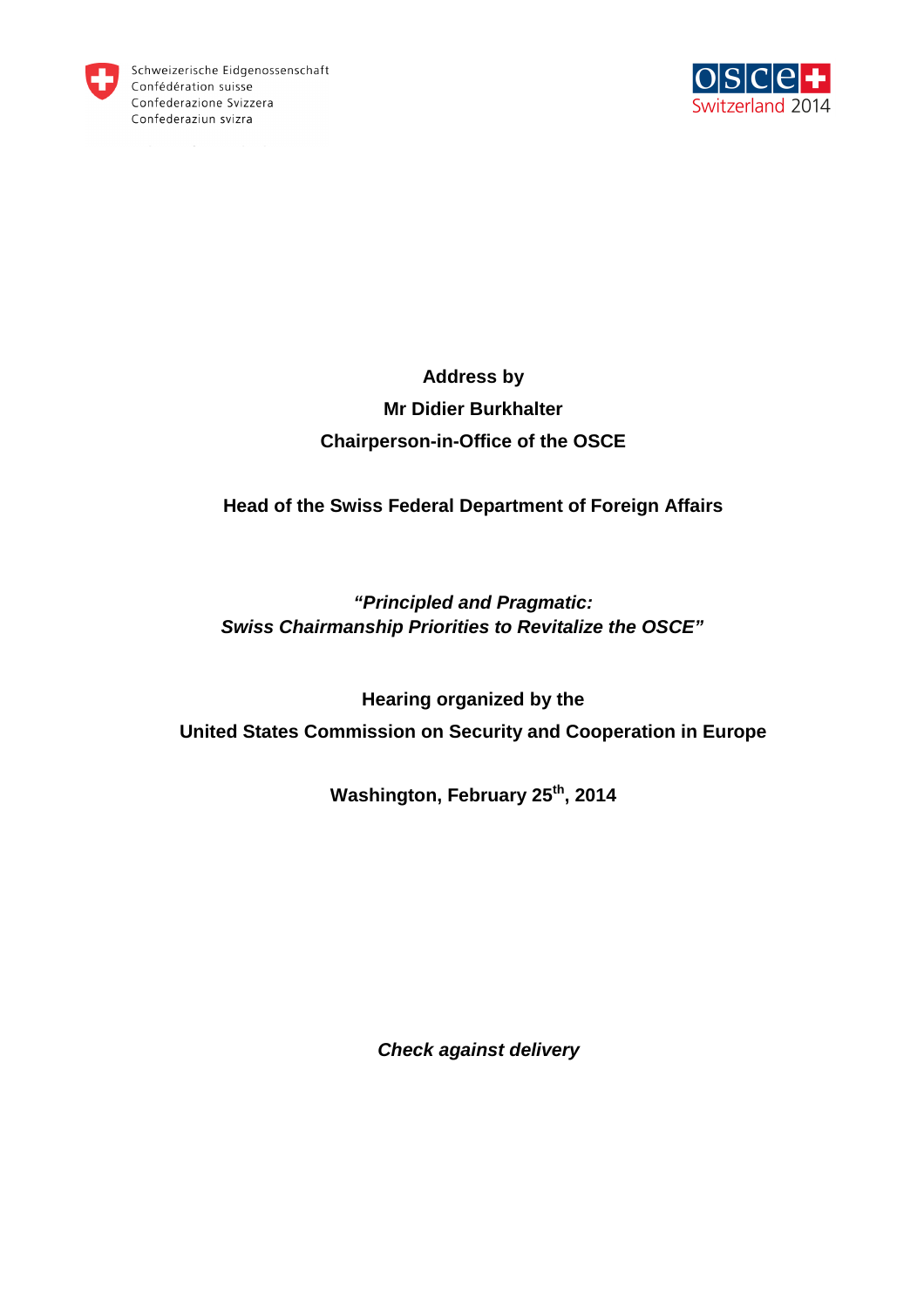



# **Address by Mr Didier Burkhalter Chairperson-in-Office of the OSCE**

### **Head of the Swiss Federal Department of Foreign Affairs**

## **"Principled and Pragmatic: Swiss Chairmanship Priorities to Revitalize the OSCE"**

**Hearing organized by the United States Commission on Security and Cooperation in Europe** 

**Washington, February 25th, 2014**

**Check against delivery**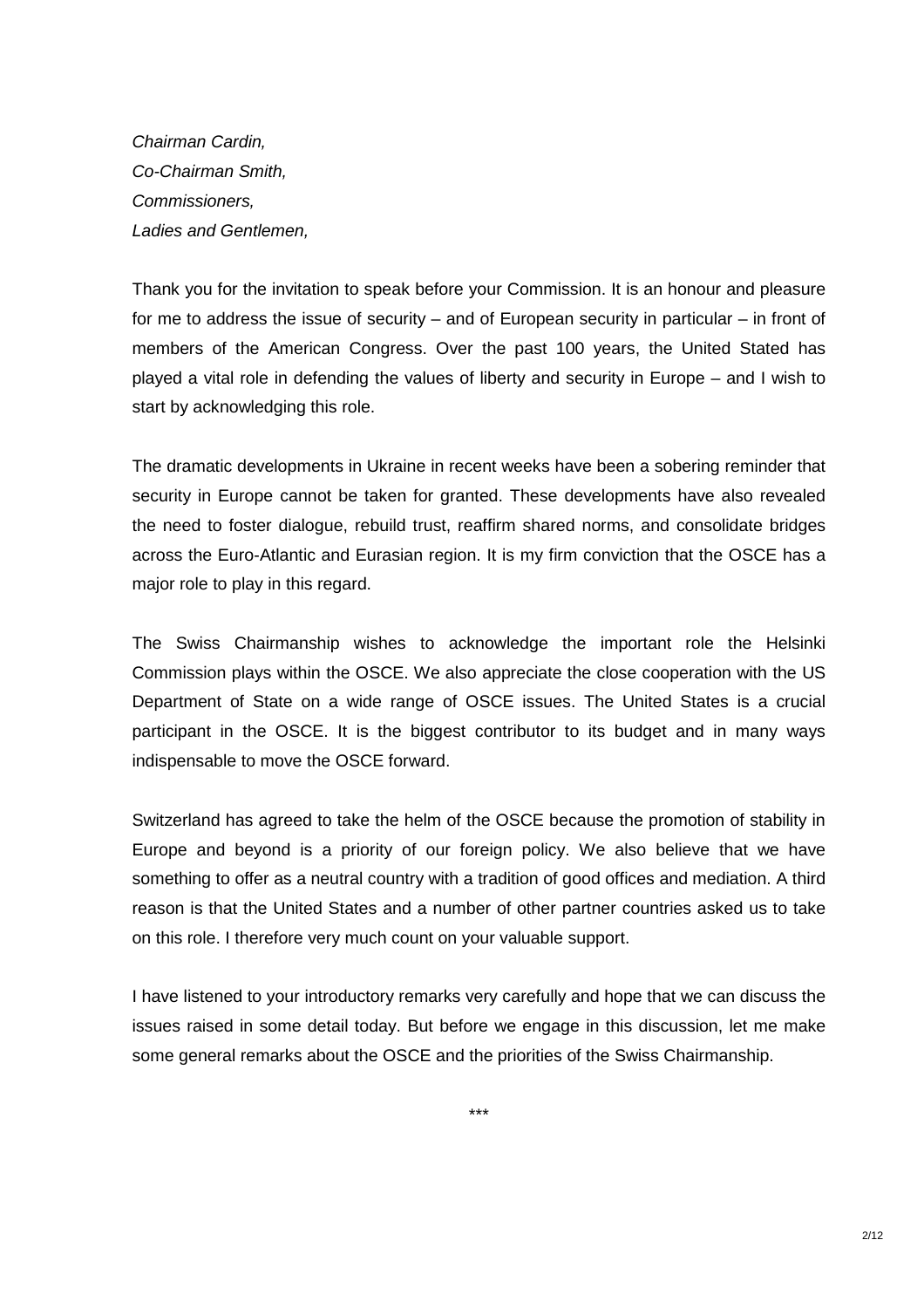Chairman Cardin, Co-Chairman Smith, Commissioners, Ladies and Gentlemen,

Thank you for the invitation to speak before your Commission. It is an honour and pleasure for me to address the issue of security – and of European security in particular – in front of members of the American Congress. Over the past 100 years, the United Stated has played a vital role in defending the values of liberty and security in Europe – and I wish to start by acknowledging this role.

The dramatic developments in Ukraine in recent weeks have been a sobering reminder that security in Europe cannot be taken for granted. These developments have also revealed the need to foster dialogue, rebuild trust, reaffirm shared norms, and consolidate bridges across the Euro-Atlantic and Eurasian region. It is my firm conviction that the OSCE has a major role to play in this regard.

The Swiss Chairmanship wishes to acknowledge the important role the Helsinki Commission plays within the OSCE. We also appreciate the close cooperation with the US Department of State on a wide range of OSCE issues. The United States is a crucial participant in the OSCE. It is the biggest contributor to its budget and in many ways indispensable to move the OSCE forward.

Switzerland has agreed to take the helm of the OSCE because the promotion of stability in Europe and beyond is a priority of our foreign policy. We also believe that we have something to offer as a neutral country with a tradition of good offices and mediation. A third reason is that the United States and a number of other partner countries asked us to take on this role. I therefore very much count on your valuable support.

I have listened to your introductory remarks very carefully and hope that we can discuss the issues raised in some detail today. But before we engage in this discussion, let me make some general remarks about the OSCE and the priorities of the Swiss Chairmanship.

\*\*\*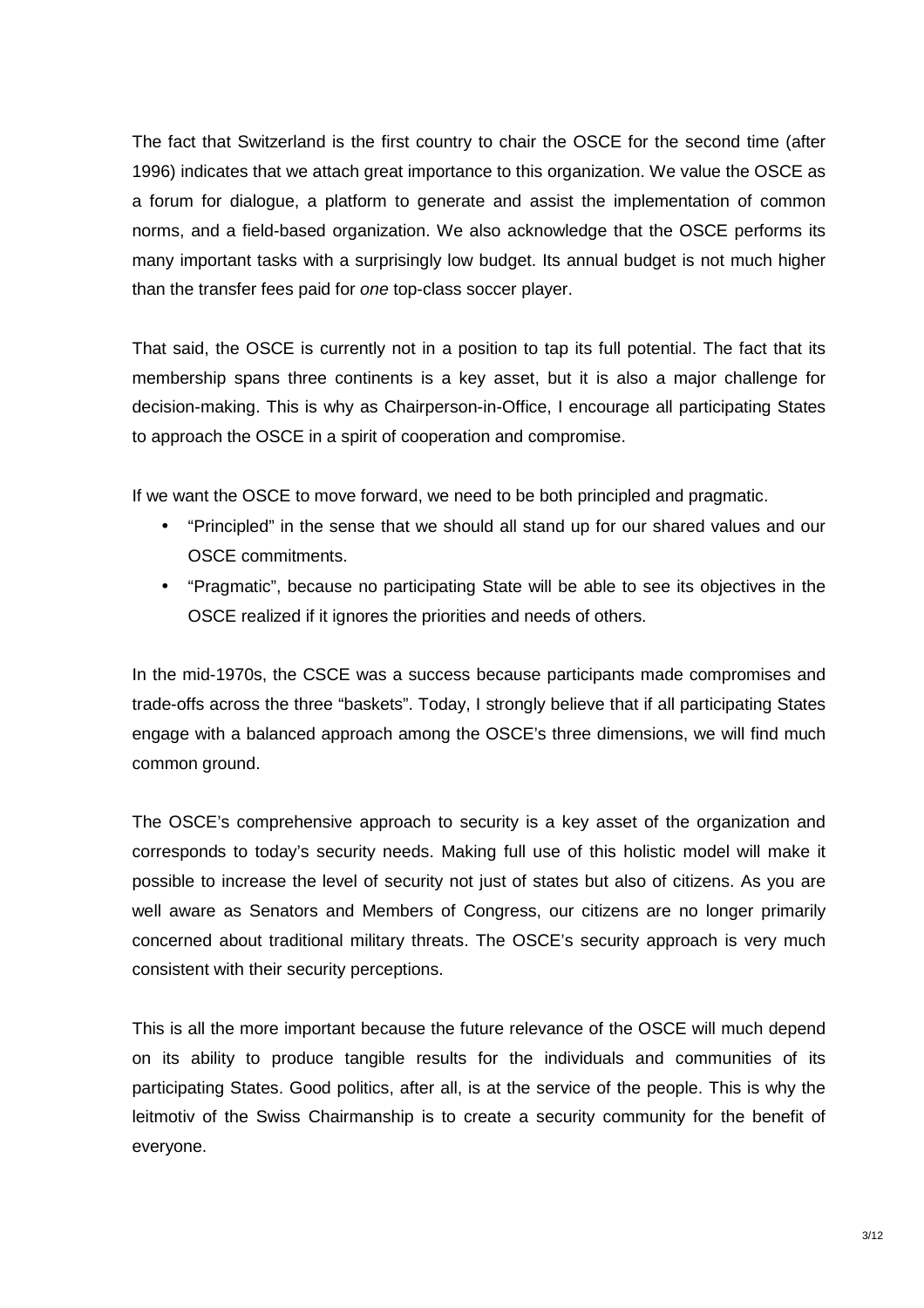The fact that Switzerland is the first country to chair the OSCE for the second time (after 1996) indicates that we attach great importance to this organization. We value the OSCE as a forum for dialogue, a platform to generate and assist the implementation of common norms, and a field-based organization. We also acknowledge that the OSCE performs its many important tasks with a surprisingly low budget. Its annual budget is not much higher than the transfer fees paid for one top-class soccer player.

That said, the OSCE is currently not in a position to tap its full potential. The fact that its membership spans three continents is a key asset, but it is also a major challenge for decision-making. This is why as Chairperson-in-Office, I encourage all participating States to approach the OSCE in a spirit of cooperation and compromise.

If we want the OSCE to move forward, we need to be both principled and pragmatic.

- "Principled" in the sense that we should all stand up for our shared values and our OSCE commitments.
- "Pragmatic", because no participating State will be able to see its objectives in the OSCE realized if it ignores the priorities and needs of others.

In the mid-1970s, the CSCE was a success because participants made compromises and trade-offs across the three "baskets". Today, I strongly believe that if all participating States engage with a balanced approach among the OSCE's three dimensions, we will find much common ground.

The OSCE's comprehensive approach to security is a key asset of the organization and corresponds to today's security needs. Making full use of this holistic model will make it possible to increase the level of security not just of states but also of citizens. As you are well aware as Senators and Members of Congress, our citizens are no longer primarily concerned about traditional military threats. The OSCE's security approach is very much consistent with their security perceptions.

This is all the more important because the future relevance of the OSCE will much depend on its ability to produce tangible results for the individuals and communities of its participating States. Good politics, after all, is at the service of the people. This is why the leitmotiv of the Swiss Chairmanship is to create a security community for the benefit of everyone.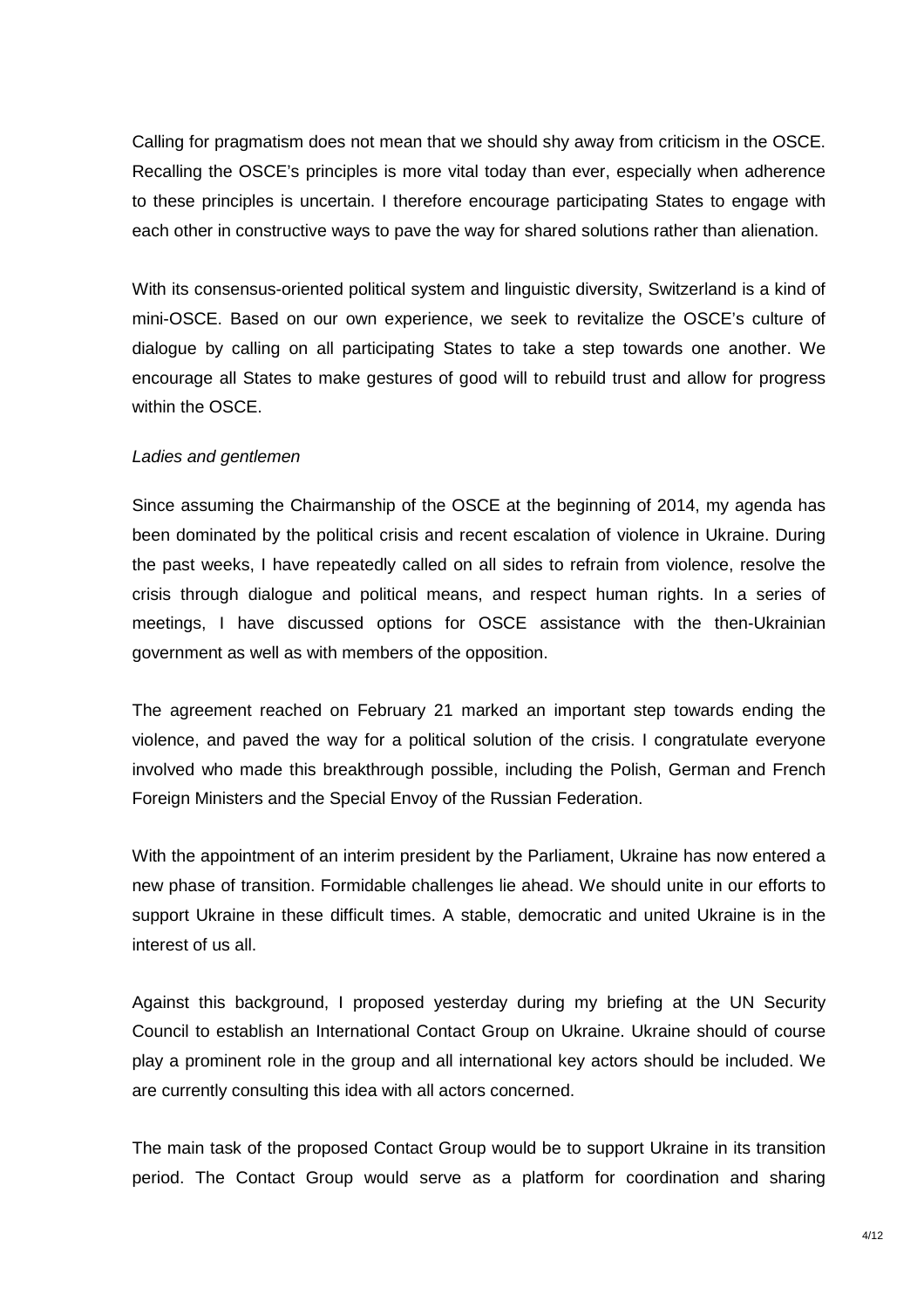Calling for pragmatism does not mean that we should shy away from criticism in the OSCE. Recalling the OSCE's principles is more vital today than ever, especially when adherence to these principles is uncertain. I therefore encourage participating States to engage with each other in constructive ways to pave the way for shared solutions rather than alienation.

With its consensus-oriented political system and linguistic diversity, Switzerland is a kind of mini-OSCE. Based on our own experience, we seek to revitalize the OSCE's culture of dialogue by calling on all participating States to take a step towards one another. We encourage all States to make gestures of good will to rebuild trust and allow for progress within the OSCE.

### Ladies and gentlemen

Since assuming the Chairmanship of the OSCE at the beginning of 2014, my agenda has been dominated by the political crisis and recent escalation of violence in Ukraine. During the past weeks, I have repeatedly called on all sides to refrain from violence, resolve the crisis through dialogue and political means, and respect human rights. In a series of meetings, I have discussed options for OSCE assistance with the then-Ukrainian government as well as with members of the opposition.

The agreement reached on February 21 marked an important step towards ending the violence, and paved the way for a political solution of the crisis. I congratulate everyone involved who made this breakthrough possible, including the Polish, German and French Foreign Ministers and the Special Envoy of the Russian Federation.

With the appointment of an interim president by the Parliament, Ukraine has now entered a new phase of transition. Formidable challenges lie ahead. We should unite in our efforts to support Ukraine in these difficult times. A stable, democratic and united Ukraine is in the interest of us all.

Against this background, I proposed yesterday during my briefing at the UN Security Council to establish an International Contact Group on Ukraine. Ukraine should of course play a prominent role in the group and all international key actors should be included. We are currently consulting this idea with all actors concerned.

The main task of the proposed Contact Group would be to support Ukraine in its transition period. The Contact Group would serve as a platform for coordination and sharing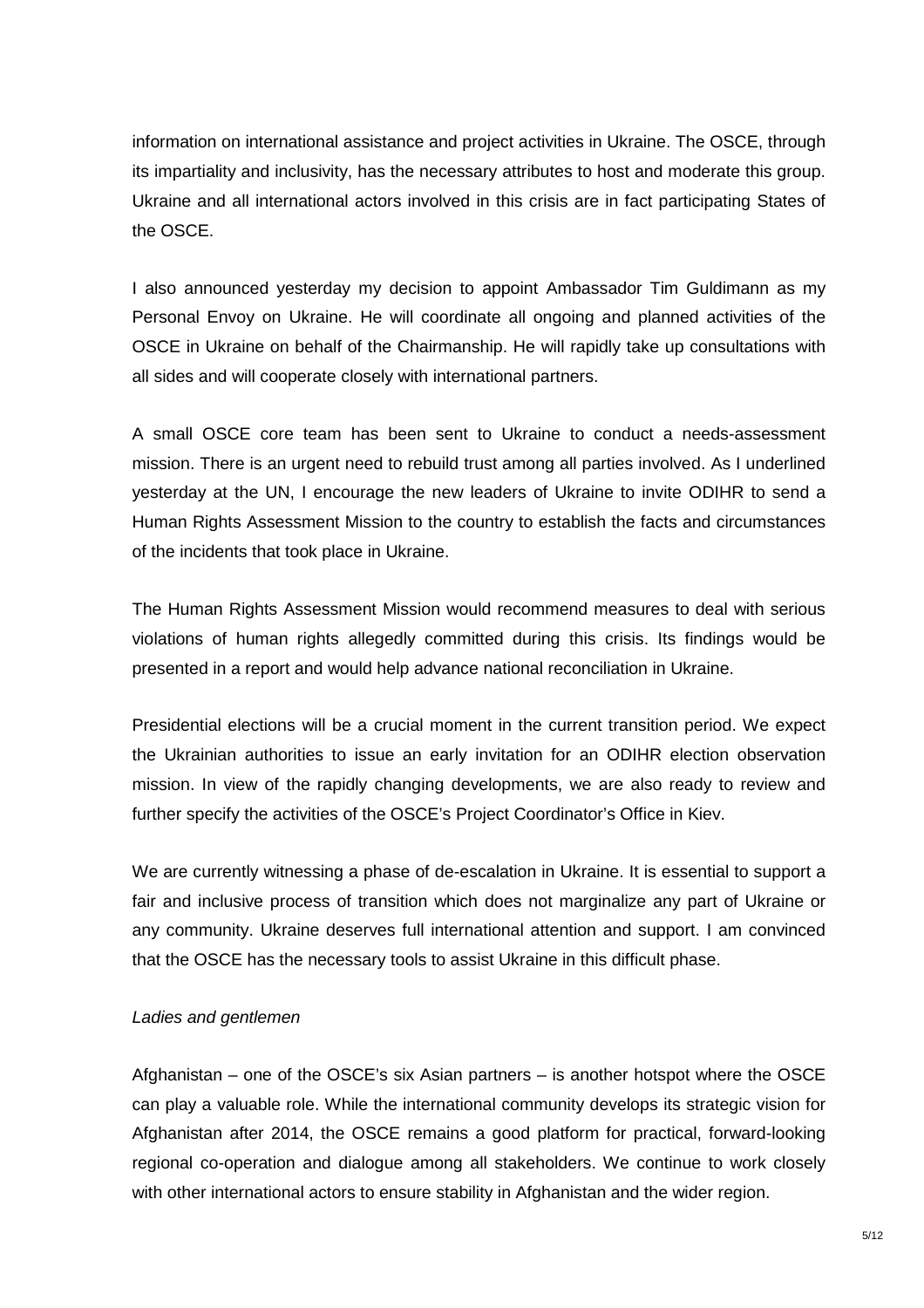information on international assistance and project activities in Ukraine. The OSCE, through its impartiality and inclusivity, has the necessary attributes to host and moderate this group. Ukraine and all international actors involved in this crisis are in fact participating States of the OSCE.

I also announced yesterday my decision to appoint Ambassador Tim Guldimann as my Personal Envoy on Ukraine. He will coordinate all ongoing and planned activities of the OSCE in Ukraine on behalf of the Chairmanship. He will rapidly take up consultations with all sides and will cooperate closely with international partners.

A small OSCE core team has been sent to Ukraine to conduct a needs-assessment mission. There is an urgent need to rebuild trust among all parties involved. As I underlined yesterday at the UN, I encourage the new leaders of Ukraine to invite ODIHR to send a Human Rights Assessment Mission to the country to establish the facts and circumstances of the incidents that took place in Ukraine.

The Human Rights Assessment Mission would recommend measures to deal with serious violations of human rights allegedly committed during this crisis. Its findings would be presented in a report and would help advance national reconciliation in Ukraine.

Presidential elections will be a crucial moment in the current transition period. We expect the Ukrainian authorities to issue an early invitation for an ODIHR election observation mission. In view of the rapidly changing developments, we are also ready to review and further specify the activities of the OSCE's Project Coordinator's Office in Kiev.

We are currently witnessing a phase of de-escalation in Ukraine. It is essential to support a fair and inclusive process of transition which does not marginalize any part of Ukraine or any community. Ukraine deserves full international attention and support. I am convinced that the OSCE has the necessary tools to assist Ukraine in this difficult phase.

### Ladies and gentlemen

Afghanistan – one of the OSCE's six Asian partners – is another hotspot where the OSCE can play a valuable role. While the international community develops its strategic vision for Afghanistan after 2014, the OSCE remains a good platform for practical, forward-looking regional co-operation and dialogue among all stakeholders. We continue to work closely with other international actors to ensure stability in Afghanistan and the wider region.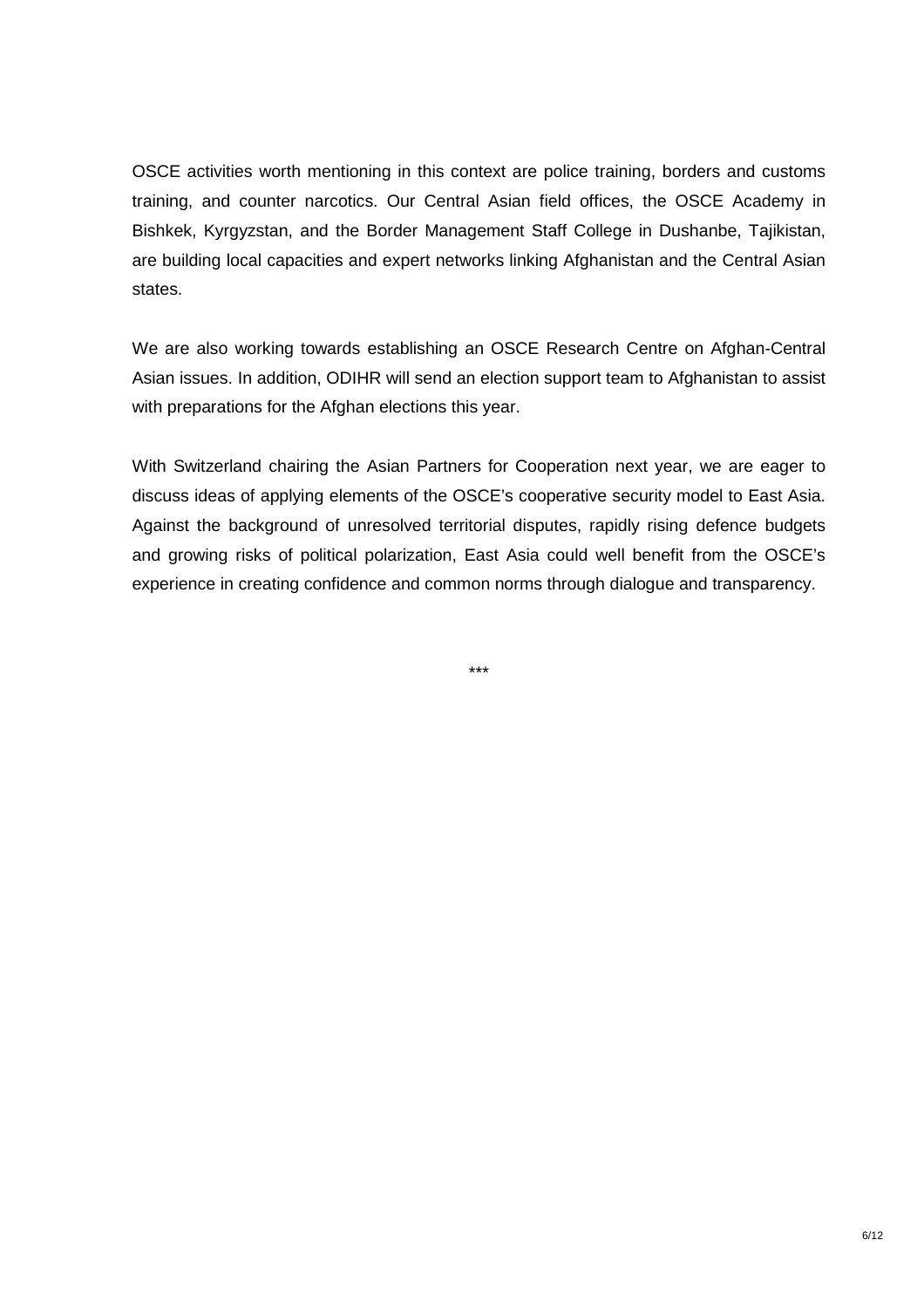OSCE activities worth mentioning in this context are police training, borders and customs training, and counter narcotics. Our Central Asian field offices, the OSCE Academy in Bishkek, Kyrgyzstan, and the Border Management Staff College in Dushanbe, Tajikistan, are building local capacities and expert networks linking Afghanistan and the Central Asian states.

We are also working towards establishing an OSCE Research Centre on Afghan-Central Asian issues. In addition, ODIHR will send an election support team to Afghanistan to assist with preparations for the Afghan elections this year.

With Switzerland chairing the Asian Partners for Cooperation next year, we are eager to discuss ideas of applying elements of the OSCE's cooperative security model to East Asia. Against the background of unresolved territorial disputes, rapidly rising defence budgets and growing risks of political polarization, East Asia could well benefit from the OSCE's experience in creating confidence and common norms through dialogue and transparency.

\*\*\*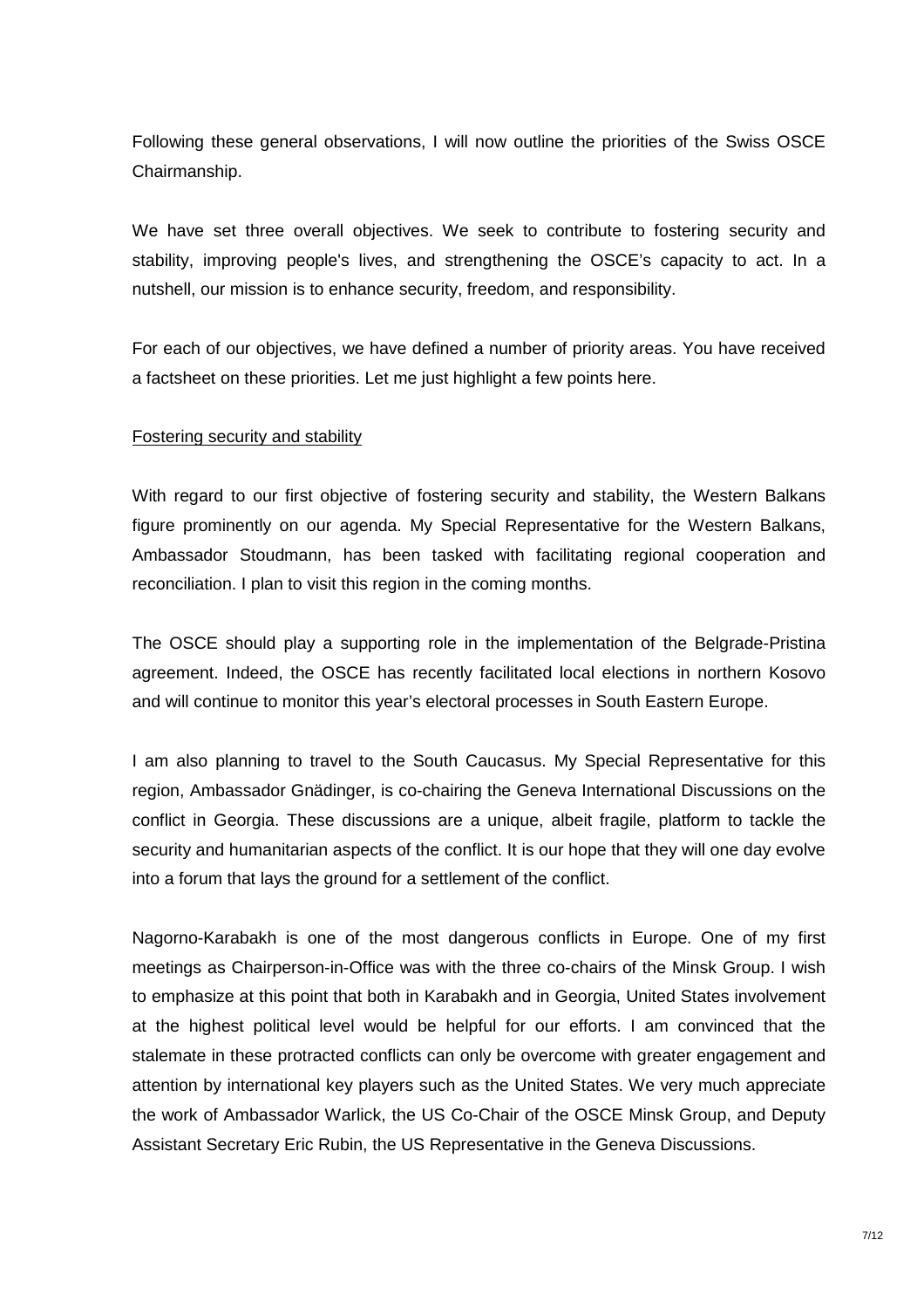Following these general observations, I will now outline the priorities of the Swiss OSCE Chairmanship.

We have set three overall objectives. We seek to contribute to fostering security and stability, improving people's lives, and strengthening the OSCE's capacity to act. In a nutshell, our mission is to enhance security, freedom, and responsibility.

For each of our objectives, we have defined a number of priority areas. You have received a factsheet on these priorities. Let me just highlight a few points here.

### Fostering security and stability

With regard to our first objective of fostering security and stability, the Western Balkans figure prominently on our agenda. My Special Representative for the Western Balkans, Ambassador Stoudmann, has been tasked with facilitating regional cooperation and reconciliation. I plan to visit this region in the coming months.

The OSCE should play a supporting role in the implementation of the Belgrade-Pristina agreement. Indeed, the OSCE has recently facilitated local elections in northern Kosovo and will continue to monitor this year's electoral processes in South Eastern Europe.

I am also planning to travel to the South Caucasus. My Special Representative for this region, Ambassador Gnädinger, is co-chairing the Geneva International Discussions on the conflict in Georgia. These discussions are a unique, albeit fragile, platform to tackle the security and humanitarian aspects of the conflict. It is our hope that they will one day evolve into a forum that lays the ground for a settlement of the conflict.

Nagorno-Karabakh is one of the most dangerous conflicts in Europe. One of my first meetings as Chairperson-in-Office was with the three co-chairs of the Minsk Group. I wish to emphasize at this point that both in Karabakh and in Georgia, United States involvement at the highest political level would be helpful for our efforts. I am convinced that the stalemate in these protracted conflicts can only be overcome with greater engagement and attention by international key players such as the United States. We very much appreciate the work of Ambassador Warlick, the US Co-Chair of the OSCE Minsk Group, and Deputy Assistant Secretary Eric Rubin, the US Representative in the Geneva Discussions.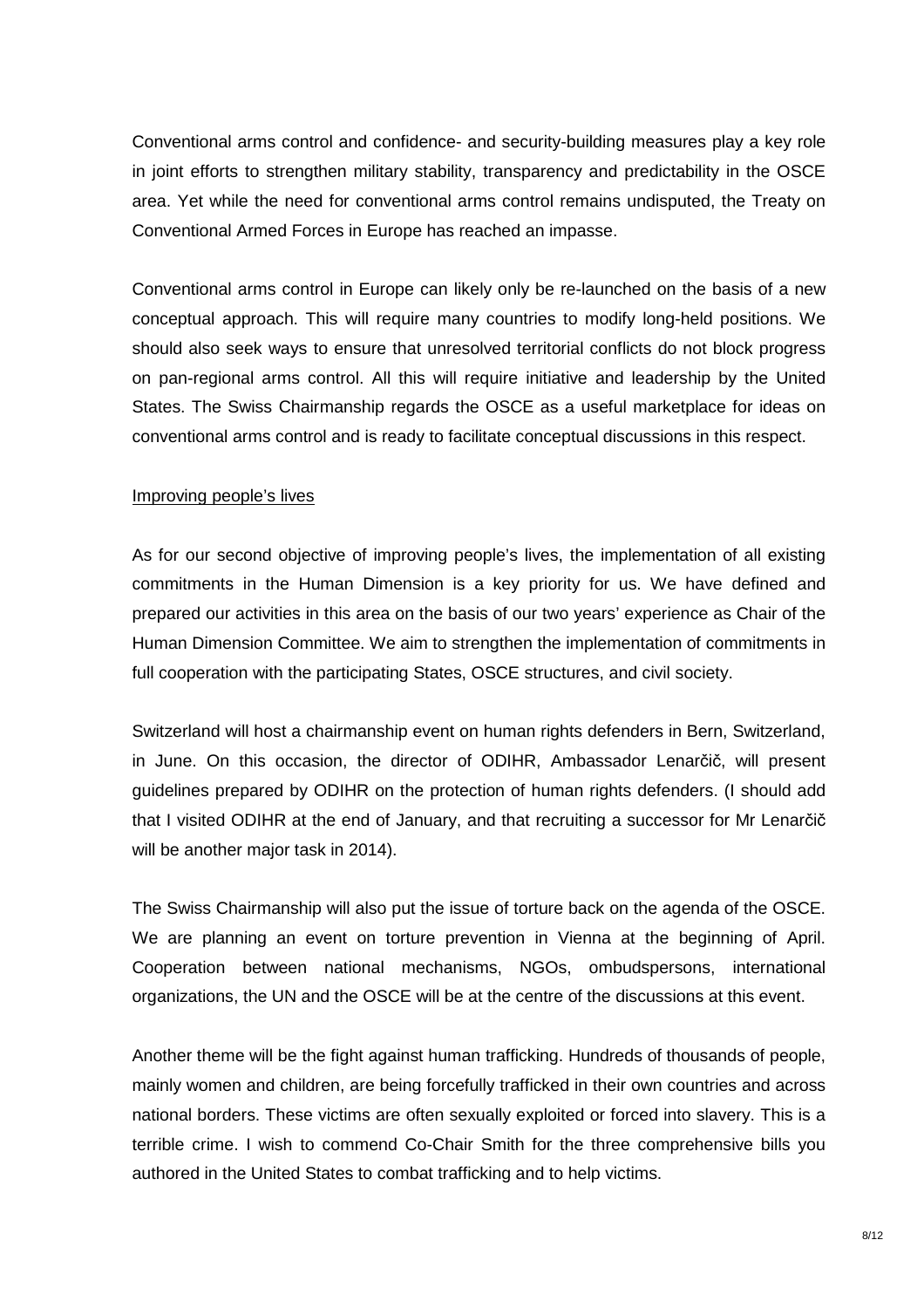Conventional arms control and confidence- and security-building measures play a key role in joint efforts to strengthen military stability, transparency and predictability in the OSCE area. Yet while the need for conventional arms control remains undisputed, the Treaty on Conventional Armed Forces in Europe has reached an impasse.

Conventional arms control in Europe can likely only be re-launched on the basis of a new conceptual approach. This will require many countries to modify long-held positions. We should also seek ways to ensure that unresolved territorial conflicts do not block progress on pan-regional arms control. All this will require initiative and leadership by the United States. The Swiss Chairmanship regards the OSCE as a useful marketplace for ideas on conventional arms control and is ready to facilitate conceptual discussions in this respect.

### Improving people's lives

As for our second objective of improving people's lives, the implementation of all existing commitments in the Human Dimension is a key priority for us. We have defined and prepared our activities in this area on the basis of our two years' experience as Chair of the Human Dimension Committee. We aim to strengthen the implementation of commitments in full cooperation with the participating States, OSCE structures, and civil society.

Switzerland will host a chairmanship event on human rights defenders in Bern, Switzerland, in June. On this occasion, the director of ODIHR, Ambassador Lenarčič, will present guidelines prepared by ODIHR on the protection of human rights defenders. (I should add that I visited ODIHR at the end of January, and that recruiting a successor for Mr Lenarčič will be another major task in 2014).

The Swiss Chairmanship will also put the issue of torture back on the agenda of the OSCE. We are planning an event on torture prevention in Vienna at the beginning of April. Cooperation between national mechanisms, NGOs, ombudspersons, international organizations, the UN and the OSCE will be at the centre of the discussions at this event.

Another theme will be the fight against human trafficking. Hundreds of thousands of people, mainly women and children, are being forcefully trafficked in their own countries and across national borders. These victims are often sexually exploited or forced into slavery. This is a terrible crime. I wish to commend Co-Chair Smith for the three comprehensive bills you authored in the United States to combat trafficking and to help victims.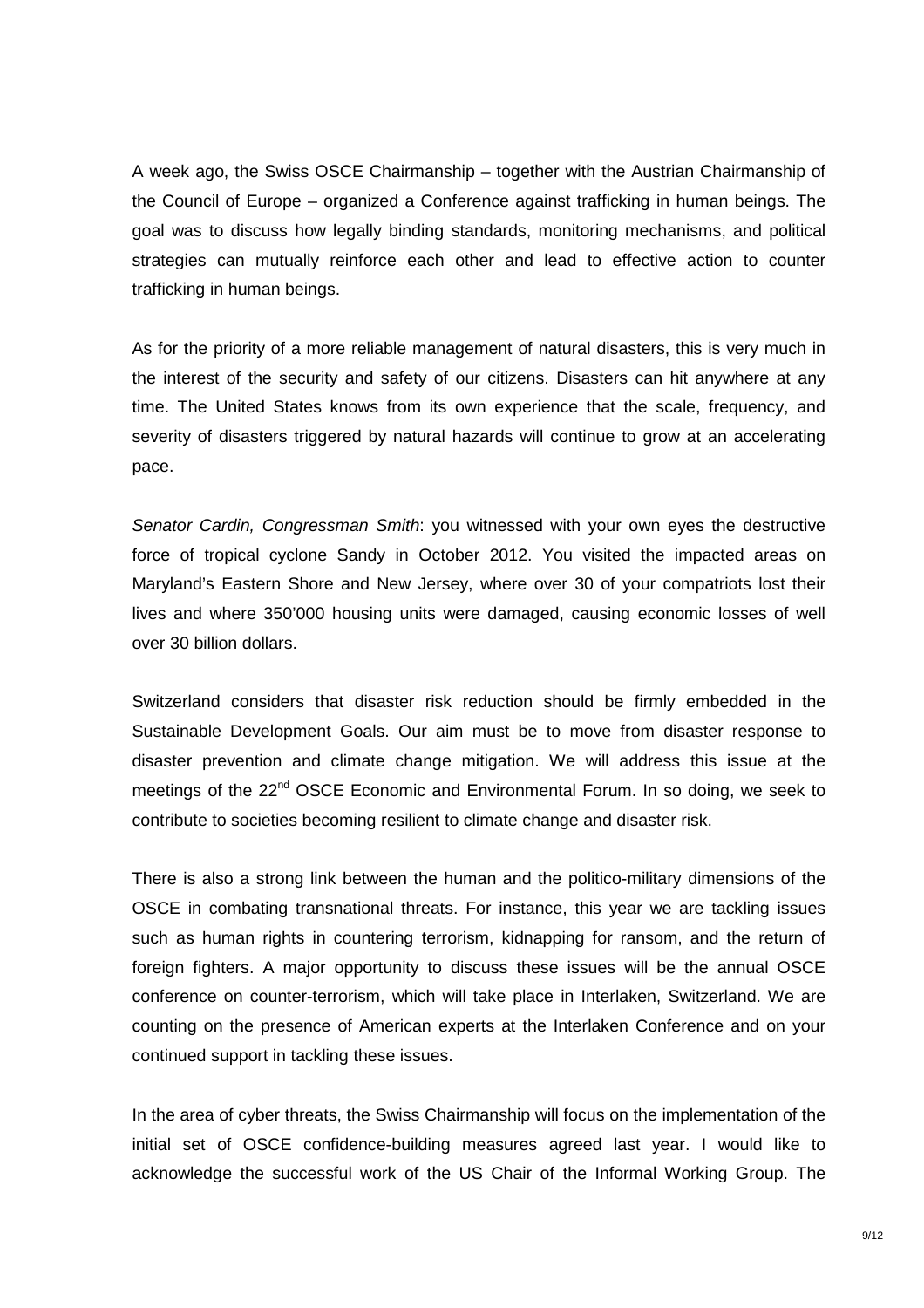A week ago, the Swiss OSCE Chairmanship – together with the Austrian Chairmanship of the Council of Europe – organized a Conference against trafficking in human beings. The goal was to discuss how legally binding standards, monitoring mechanisms, and political strategies can mutually reinforce each other and lead to effective action to counter trafficking in human beings.

As for the priority of a more reliable management of natural disasters, this is very much in the interest of the security and safety of our citizens. Disasters can hit anywhere at any time. The United States knows from its own experience that the scale, frequency, and severity of disasters triggered by natural hazards will continue to grow at an accelerating pace.

Senator Cardin, Congressman Smith: you witnessed with your own eyes the destructive force of tropical cyclone Sandy in October 2012. You visited the impacted areas on Maryland's Eastern Shore and New Jersey, where over 30 of your compatriots lost their lives and where 350'000 housing units were damaged, causing economic losses of well over 30 billion dollars.

Switzerland considers that disaster risk reduction should be firmly embedded in the Sustainable Development Goals. Our aim must be to move from disaster response to disaster prevention and climate change mitigation. We will address this issue at the meetings of the 22<sup>nd</sup> OSCE Economic and Environmental Forum. In so doing, we seek to contribute to societies becoming resilient to climate change and disaster risk.

There is also a strong link between the human and the politico-military dimensions of the OSCE in combating transnational threats. For instance, this year we are tackling issues such as human rights in countering terrorism, kidnapping for ransom, and the return of foreign fighters. A major opportunity to discuss these issues will be the annual OSCE conference on counter-terrorism, which will take place in Interlaken, Switzerland. We are counting on the presence of American experts at the Interlaken Conference and on your continued support in tackling these issues.

In the area of cyber threats, the Swiss Chairmanship will focus on the implementation of the initial set of OSCE confidence-building measures agreed last year. I would like to acknowledge the successful work of the US Chair of the Informal Working Group. The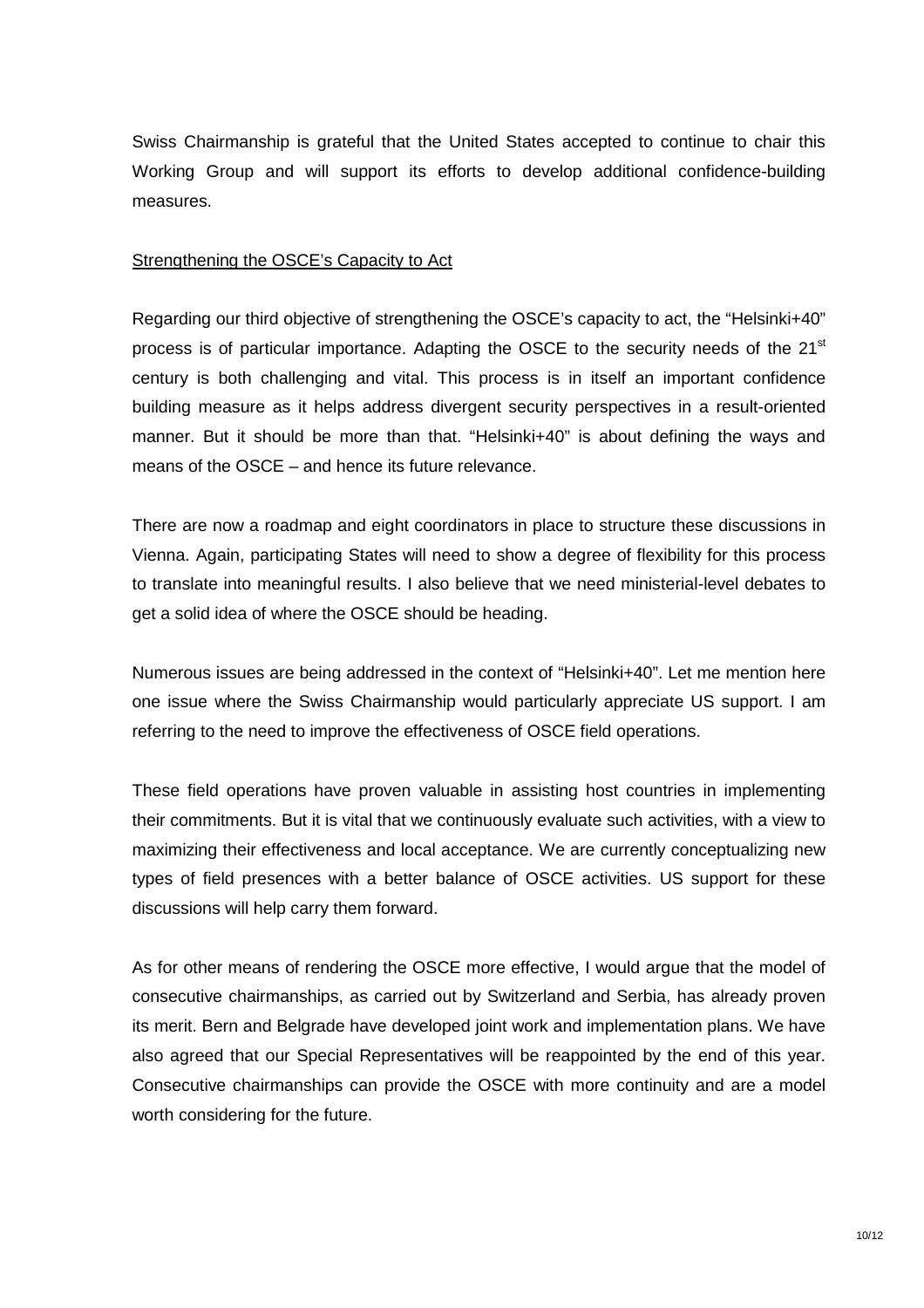Swiss Chairmanship is grateful that the United States accepted to continue to chair this Working Group and will support its efforts to develop additional confidence-building measures.

### Strengthening the OSCE's Capacity to Act

Regarding our third objective of strengthening the OSCE's capacity to act, the "Helsinki+40" process is of particular importance. Adapting the OSCE to the security needs of the  $21<sup>st</sup>$ century is both challenging and vital. This process is in itself an important confidence building measure as it helps address divergent security perspectives in a result-oriented manner. But it should be more than that. "Helsinki+40" is about defining the ways and means of the OSCE – and hence its future relevance.

There are now a roadmap and eight coordinators in place to structure these discussions in Vienna. Again, participating States will need to show a degree of flexibility for this process to translate into meaningful results. I also believe that we need ministerial-level debates to get a solid idea of where the OSCE should be heading.

Numerous issues are being addressed in the context of "Helsinki+40". Let me mention here one issue where the Swiss Chairmanship would particularly appreciate US support. I am referring to the need to improve the effectiveness of OSCE field operations.

These field operations have proven valuable in assisting host countries in implementing their commitments. But it is vital that we continuously evaluate such activities, with a view to maximizing their effectiveness and local acceptance. We are currently conceptualizing new types of field presences with a better balance of OSCE activities. US support for these discussions will help carry them forward.

As for other means of rendering the OSCE more effective, I would argue that the model of consecutive chairmanships, as carried out by Switzerland and Serbia, has already proven its merit. Bern and Belgrade have developed joint work and implementation plans. We have also agreed that our Special Representatives will be reappointed by the end of this year. Consecutive chairmanships can provide the OSCE with more continuity and are a model worth considering for the future.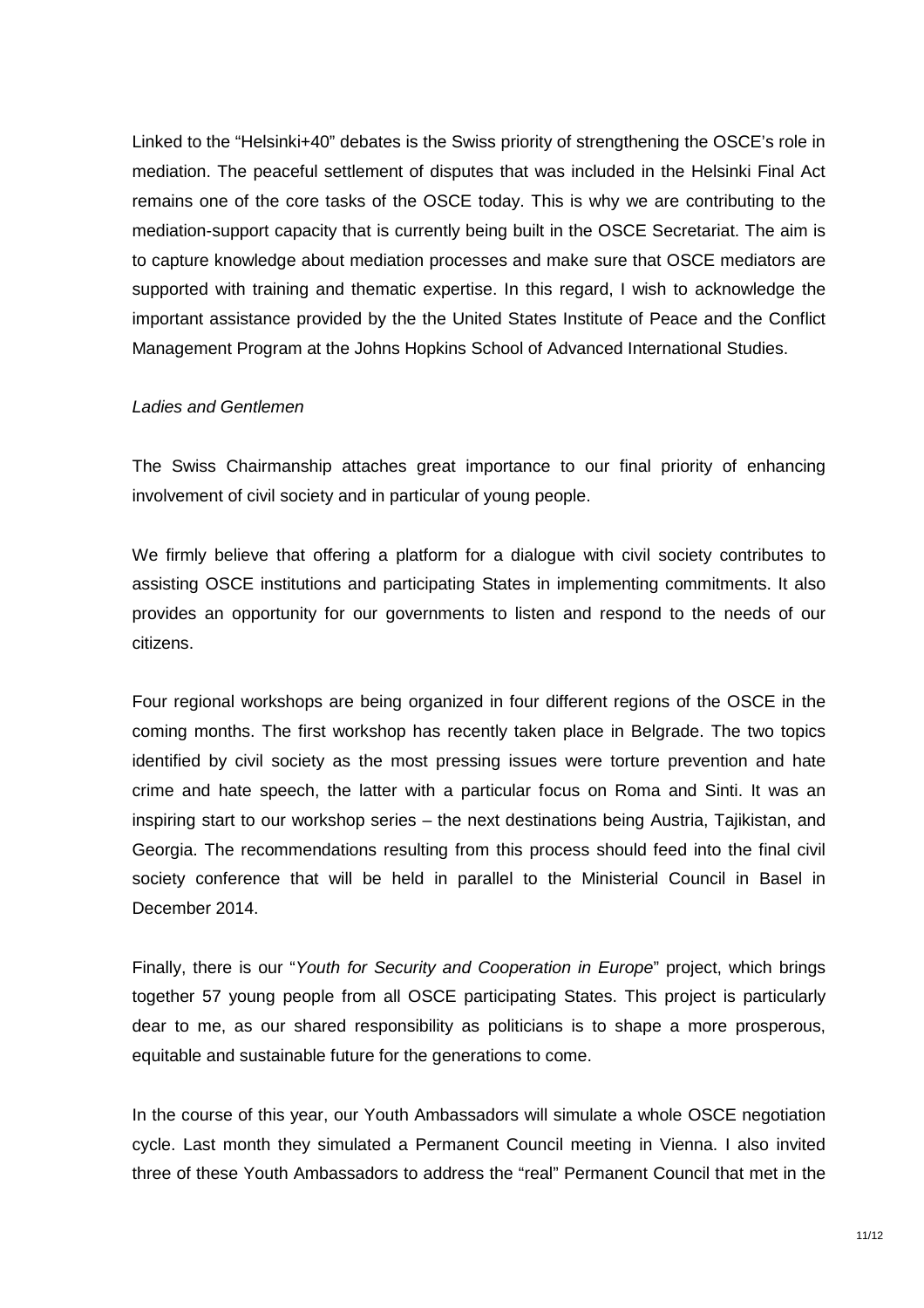Linked to the "Helsinki+40" debates is the Swiss priority of strengthening the OSCE's role in mediation. The peaceful settlement of disputes that was included in the Helsinki Final Act remains one of the core tasks of the OSCE today. This is why we are contributing to the mediation-support capacity that is currently being built in the OSCE Secretariat. The aim is to capture knowledge about mediation processes and make sure that OSCE mediators are supported with training and thematic expertise. In this regard, I wish to acknowledge the important assistance provided by the the United States Institute of Peace and the Conflict Management Program at the Johns Hopkins School of Advanced International Studies.

#### Ladies and Gentlemen

The Swiss Chairmanship attaches great importance to our final priority of enhancing involvement of civil society and in particular of young people.

We firmly believe that offering a platform for a dialogue with civil society contributes to assisting OSCE institutions and participating States in implementing commitments. It also provides an opportunity for our governments to listen and respond to the needs of our citizens.

Four regional workshops are being organized in four different regions of the OSCE in the coming months. The first workshop has recently taken place in Belgrade. The two topics identified by civil society as the most pressing issues were torture prevention and hate crime and hate speech, the latter with a particular focus on Roma and Sinti. It was an inspiring start to our workshop series – the next destinations being Austria, Tajikistan, and Georgia. The recommendations resulting from this process should feed into the final civil society conference that will be held in parallel to the Ministerial Council in Basel in December 2014.

Finally, there is our "Youth for Security and Cooperation in Europe" project, which brings together 57 young people from all OSCE participating States. This project is particularly dear to me, as our shared responsibility as politicians is to shape a more prosperous, equitable and sustainable future for the generations to come.

In the course of this year, our Youth Ambassadors will simulate a whole OSCE negotiation cycle. Last month they simulated a Permanent Council meeting in Vienna. I also invited three of these Youth Ambassadors to address the "real" Permanent Council that met in the